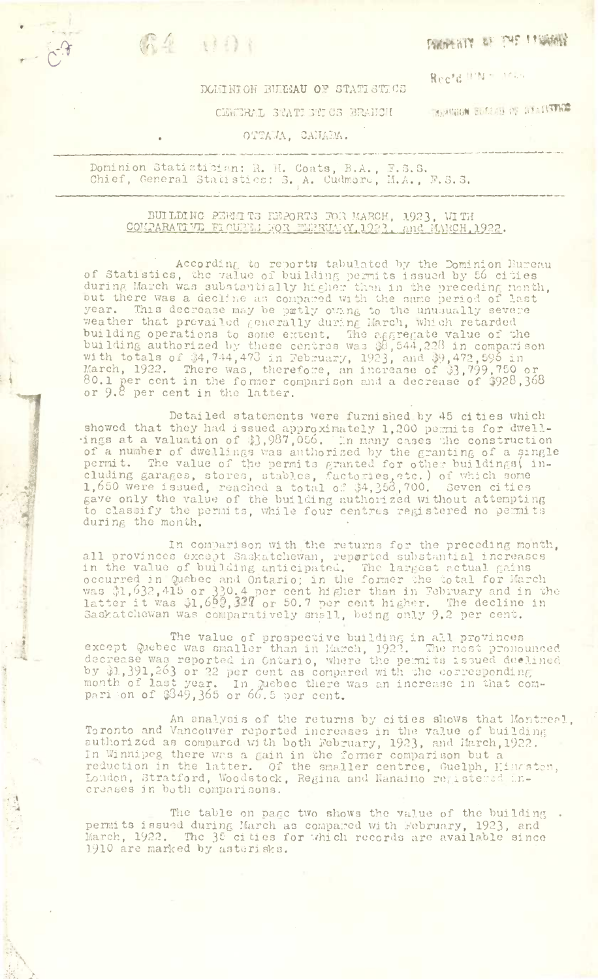

## PROPERTY OF THE LESSARY

Rec'd limit and

## DOMINION BUILMAU OF STATISTICS

CENTRAL STATISTICS BRANCH TOWNSHIP OF STANDAR

OTTAJA, CANADA.

Dominion Statistician: R. H. Coats, B.A., F.S.S.<br>Chief, General Statistics: S. A. Cudmore, M.A., F.S.S.

## BUILDING PERMITS REPORTS FOR MARCH, 1923, WITH CONPARATIVE FICURES FOR TERUM (Y. 1923, and MARCH, 1922.

According to reports tabulated by the Dominion Bureau<br>of Statistics, the value of building permits issued by 56 cities<br>during March was automatially higher than in the preceding nonth,<br>but there was a decline as compared w According to reportm tabulated by the Dominion Bureau

Detailed statements were furnished by 45 cities which showed that they had issued approximately 1,200 permits for dwell-<br>ings at a valuation of \$3,987,056. In many cases the construction<br>of a number of dwellings was authorized by the granting of a single<br>permit. The value of gave only the value of the building authorized without attempting<br>to classify the permits, while four centres registered no permits during the month.

In comparison with the returns for the preceding month, all provinces except Saskatchewan, reported substantial increases<br>in the value of building anticipated. The largest actual gains<br>occurred in Quebec and Ontario; in the former the total for March<br>was \$1,632,415 or 330.4 per

The value of prospective building in all provinces<br>except Quebec was smaller than in March, 1922. The nest pronounced<br>decrease was reported in Ontario, where the permits issued declined<br>by \$1,391,263 or 22 per cent as comp

An analysis of the returns by cities shows that Montmeal, Toronto and Vancouver reported increases in the value of building and vandouver reported increases in the value of building<br>authorized as compared with both February, 1923, and March, 1922.<br>In Winnipeg there was a gain in the former comparison but a<br>reduction in the latter. Of the smalle

The table on page two shows the value of the building. permits issued during March as compared with February, 1923, and March, 1922. The 35 cities for which records are available since 1910 are marked by asterisks.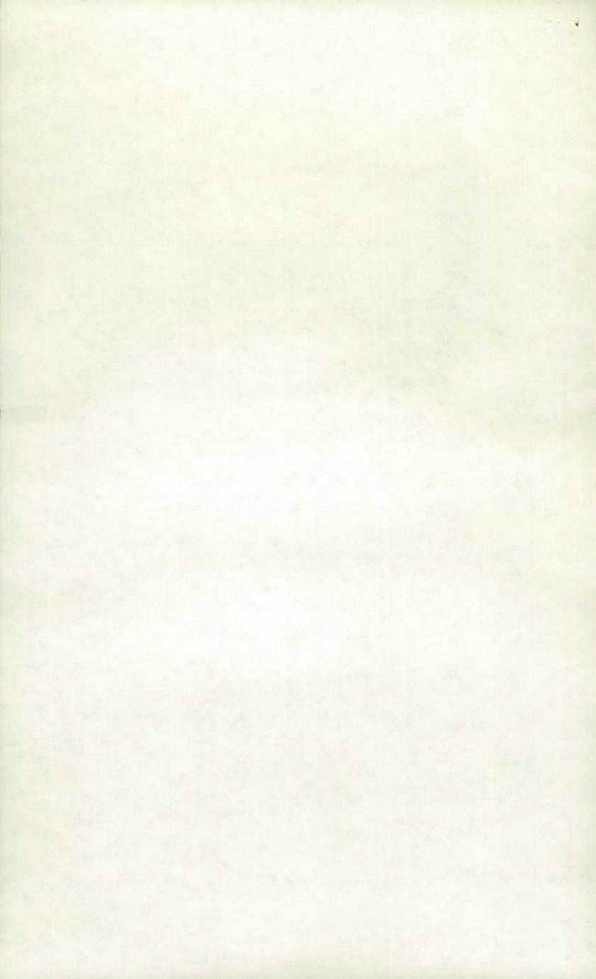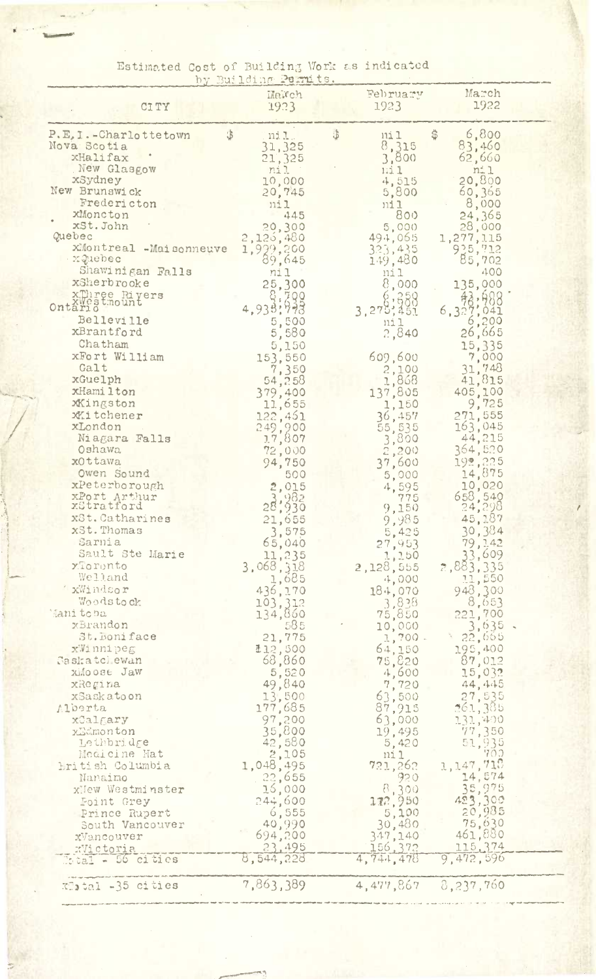|                               | by Burlding Refinite.            |               |                  | March                          |  |
|-------------------------------|----------------------------------|---------------|------------------|--------------------------------|--|
| <b>CITY</b>                   | Mawch<br>1923                    |               | February<br>1923 | 1922                           |  |
| \$<br>P.E.I.-Charlottetown    | nil.                             | $\ddot{\phi}$ | nil              | 6,800<br>\$                    |  |
| Nova Scotia                   | 31,325                           |               | 8,315            | 83,460                         |  |
| xHalifax                      | 21,325                           |               | 3,800            | 62,660                         |  |
| New Glasgow                   | nil                              |               | ni 1             | nil                            |  |
| xSydney<br>New Brunswick      | 10,000                           |               | 4,515            | 20,800                         |  |
| Fredericton                   | 20,745<br>nil                    |               | 5,800<br>nil     | 60,365<br>8,000                |  |
| xMoncton                      | 445                              |               | 800              | 24,365                         |  |
| xSt. John                     | 20,300                           |               | 5,000            | 28,000                         |  |
| Quebec                        | 2,126,480<br>1,999,200<br>89,645 |               | 494,065          | 1,277,115<br>925,712<br>85,702 |  |
| xMontreal -Maisonneuve        |                                  |               | 323,435          |                                |  |
| xquebec<br>Shawinigan Falls   |                                  |               | 149,480          | 400                            |  |
| xSherbrooke                   | nil                              |               | nil<br>8,000     | 135,000                        |  |
|                               | 25,300<br>3.799                  |               |                  |                                |  |
| xThree Rivers                 | 4,938,778                        |               | 3, 275, 358      | 43:988<br>6,327,041            |  |
| Belleville                    | 5,500                            |               | nil              | 6,200                          |  |
| xBrantford                    | 5,580                            |               | 2,840            | 26,665                         |  |
| Chatham                       | 5,150                            |               |                  | 15,335                         |  |
| xFort William                 | 153,550                          |               | 609,600          | 7,000                          |  |
| Galt                          | 7,350                            |               | 2,100            | 31,748                         |  |
| xGuelph                       | 54,258                           |               | 1,868            | 41,815                         |  |
| xHamilton<br>xKingston        | 379,400                          |               | 137,805          | 405,100<br>9,725               |  |
| <b>XXitchener</b>             | 11,655<br>122,451                |               | 1,150<br>36,457  | 271,555                        |  |
| xLondon                       | 249,900                          |               | 55,535           |                                |  |
| Niagara Falls                 | 17,807                           |               | 3,800            | 163,045<br>44,215              |  |
| Oshawa                        | 72,000                           |               | 2,200            | 364,520                        |  |
| xOttawa                       | 94,750                           |               | 37,600           | 192, 225                       |  |
| Owen Sound                    | 500                              |               | 5,000            |                                |  |
| xPeterborough<br>xPort Arthur | 2,015                            |               | 4,595<br>775     | 4, 298                         |  |
| xStratford                    | 28.982                           |               | 9,150            |                                |  |
| xSt. Catharines               | 21,655                           |               | 9,985            | 45,187                         |  |
| xSt. Thomas                   | 3,575                            |               | 5,425            | 30,384                         |  |
| Sarnia                        | 65,040                           |               | 27,953           | 79,142                         |  |
| Sault Ste Marie               | 11,235                           |               | 1,150            | 33,609<br>2,883,335            |  |
| yToronto<br>Welland           | 3,068,318                        |               | 2,128,555        |                                |  |
| 'xWindsor                     | 1,685                            |               | 4,000            | 11,550<br>948,300              |  |
| Woodstock                     | 436,170<br>103,312               |               | 184,070<br>3,838 | 8,653                          |  |
| Manitoba                      | 134,860                          |               | 75,850           | 221,700                        |  |
| xBrandon                      | 585                              |               | 10,000           | 3,635                          |  |
| St. Boniface                  | 21,775                           |               | $1,700$ .        | 32,665                         |  |
| xWinnipeg                     | #12,500                          |               | 64,150           | 195,400                        |  |
| Gaskatchewan                  | 68,860                           |               | 75,820           | 87,012                         |  |
| xMoose Jaw<br>xRegina         | 5,520<br>49,840                  |               | 4,600<br>7,720   | 15,032<br>44,445               |  |
| xSaskatoon                    | 13,500                           |               | 63,500           | 27,535                         |  |
| Alberta                       | 177,685                          |               | 87,915           | 261,385                        |  |
| xCalgary                      | 97,200                           |               | 63,000           | 131,400                        |  |
| xEdmonton                     | 35,800                           |               | 19,495           | 77,350                         |  |
| Lethbridge                    | 42,580                           |               | 5,420            | 51,935                         |  |
| Medicine Hat                  | 2,105                            |               | m1               | 700                            |  |
| Eritish Columbia<br>Nanaimo   | 1,048,495<br>22,655              |               | 721,262<br>920   | 1,147,718<br>14,574            |  |
| xHew Westminster              | 16,000                           |               | 8,300            | 35,975                         |  |
| Point Grey                    | 244,600                          |               | 172,950          | 423,300                        |  |
| Prince Rupert                 | 6,555                            |               | 5,100            | 20,985                         |  |
| South Vancouver               | 40,990                           |               | 30,480           | 75,630<br>461,880              |  |
| xVancouver                    | 694,200                          |               | 347,140          |                                |  |
| xVictoria                     | 23,495                           |               | 156,372          | 115.374                        |  |
| Motal - 56 cities             | 8,544,228                        |               | 4, 744, 478      | 9,472,596                      |  |
| klatal -35 cities             | 7,863,389                        |               | 4,477,867        | 8,237,760                      |  |

|  |                                                          |  | Estimated Cost of Building Work as indicated |
|--|----------------------------------------------------------|--|----------------------------------------------|
|  | the common contract of the common common contract and an |  |                                              |